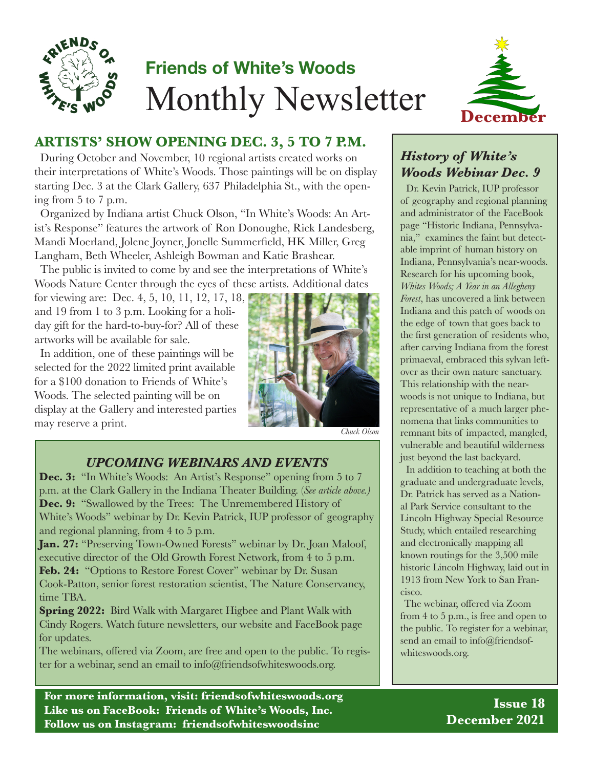

# **Friends of White's Woods** Monthly Newsletter



# **ARTISTS' SHOW OPENING DEC. 3, 5 TO 7 P.M.**

During October and November, 10 regional artists created works on their interpretations of White's Woods. Those paintings will be on display starting Dec. 3 at the Clark Gallery, 637 Philadelphia St., with the opening from 5 to 7 p.m.

Organized by Indiana artist Chuck Olson, "In White's Woods: An Artist's Response" features the artwork of Ron Donoughe, Rick Landesberg, Mandi Moerland, Jolene Joyner, Jonelle Summerfield, HK Miller, Greg Langham, Beth Wheeler, Ashleigh Bowman and Katie Brashear.

The public is invited to come by and see the interpretations of White's Woods Nature Center through the eyes of these artists. Additional dates

for viewing are: Dec. 4, 5, 10, 11, 12, 17, 18, and 19 from 1 to 3 p.m. Looking for a holiday gift for the hard-to-buy-for? All of these artworks will be available for sale.

In addition, one of these paintings will be selected for the 2022 limited print available for a \$100 donation to Friends of White's Woods. The selected painting will be on display at the Gallery and interested parties may reserve a print.



*Chuck Olson*

### *UPCOMING WEBINARS AND EVENTS*

**Dec. 3:** "In White's Woods: An Artist's Response" opening from 5 to 7 p.m. at the Clark Gallery in the Indiana Theater Building. (*See article above.)* **Dec. 9:** "Swallowed by the Trees: The Unremembered History of White's Woods" webinar by Dr. Kevin Patrick, IUP professor of geography and regional planning, from 4 to 5 p.m.

**Jan. 27:** "Preserving Town-Owned Forests" webinar by Dr. Joan Maloof, executive director of the Old Growth Forest Network, from 4 to 5 p.m. Feb. 24: "Options to Restore Forest Cover" webinar by Dr. Susan Cook-Patton, senior forest restoration scientist, The Nature Conservancy, time TBA.

**Spring 2022:** Bird Walk with Margaret Higbee and Plant Walk with Cindy Rogers. Watch future newsletters, our website and FaceBook page for updates.

The webinars, offered via Zoom, are free and open to the public. To register for a webinar, send an email to info@friendsofwhiteswoods.org.

**For more information, visit: friendsofwhiteswoods.org Like us on FaceBook: Friends of White's Woods, Inc. Follow us on Instagram: friendsofwhiteswoodsinc**

## *History of White's Woods Webinar Dec. 9*

Dr. Kevin Patrick, IUP professor of geography and regional planning and administrator of the FaceBook page "Historic Indiana, Pennsylvania," examines the faint but detectable imprint of human history on Indiana, Pennsylvania's near-woods. Research for his upcoming book, *Whites Woods; A Year in an Allegheny Forest*, has uncovered a link between Indiana and this patch of woods on the edge of town that goes back to the first generation of residents who, after carving Indiana from the forest primaeval, embraced this sylvan leftover as their own nature sanctuary. This relationship with the nearwoods is not unique to Indiana, but representative of a much larger phenomena that links communities to remnant bits of impacted, mangled, vulnerable and beautiful wilderness just beyond the last backyard.

In addition to teaching at both the graduate and undergraduate levels, Dr. Patrick has served as a National Park Service consultant to the Lincoln Highway Special Resource Study, which entailed researching and electronically mapping all known routings for the 3,500 mile historic Lincoln Highway, laid out in 1913 from New York to San Francisco.

The webinar, offered via Zoom from 4 to 5 p.m., is free and open to the public. To register for a webinar, send an email to info@friendsofwhiteswoods.org.

> **Issue 18 December 2021**